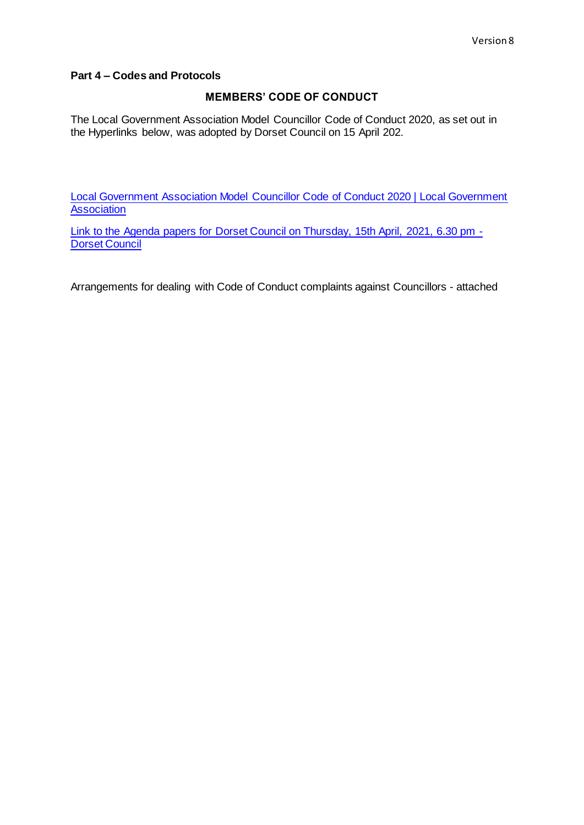#### **Part 4 – Codes and Protocols**

#### **MEMBERS' CODE OF CONDUCT**

The Local Government Association Model Councillor Code of Conduct 2020, as set out in the Hyperlinks below, was adopted by Dorset Council on 15 April 202.

[Local Government Association Model Councillor Code of Conduct 2020 | Local Government](https://www.local.gov.uk/publications/local-government-association-model-councillor-code-conduct-2020)  **[Association](https://www.local.gov.uk/publications/local-government-association-model-councillor-code-conduct-2020)** 

[Link to the Agenda papers for Dorset Council on Thursday, 15th April, 2021, 6.30 pm -](https://moderngov.dorsetcouncil.gov.uk/ieListDocuments.aspx?CId=153&MId=5010&Ver=4) [Dorset Council](https://moderngov.dorsetcouncil.gov.uk/ieListDocuments.aspx?CId=153&MId=5010&Ver=4)

Arrangements for dealing with Code of Conduct complaints against Councillors - attached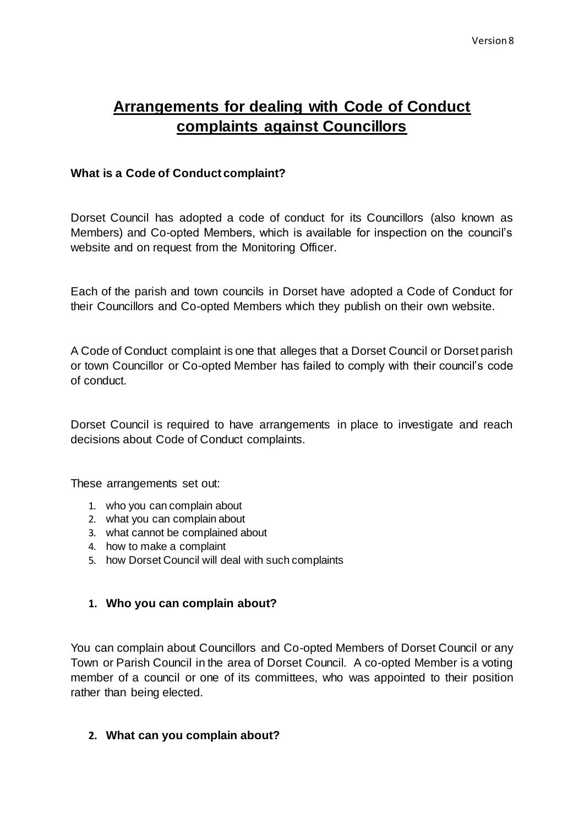# **Arrangements for dealing with Code of Conduct complaints against Councillors**

## **What is a Code of Conduct complaint?**

Dorset Council has adopted a code of conduct for its Councillors (also known as Members) and Co-opted Members, which is available for inspection on the council's website and on request from the Monitoring Officer.

Each of the parish and town councils in Dorset have adopted a Code of Conduct for their Councillors and Co-opted Members which they publish on their own website.

A Code of Conduct complaint is one that alleges that a Dorset Council or Dorset parish or town Councillor or Co-opted Member has failed to comply with their council's code of conduct.

Dorset Council is required to have arrangements in place to investigate and reach decisions about Code of Conduct complaints.

These arrangements set out:

- 1. who you can complain about
- 2. what you can complain about
- 3. what cannot be complained about
- 4. how to make a complaint
- 5. how Dorset Council will deal with such complaints

### **1. Who you can complain about?**

You can complain about Councillors and Co-opted Members of Dorset Council or any Town or Parish Council in the area of Dorset Council. A co-opted Member is a voting member of a council or one of its committees, who was appointed to their position rather than being elected.

### **2. What can you complain about?**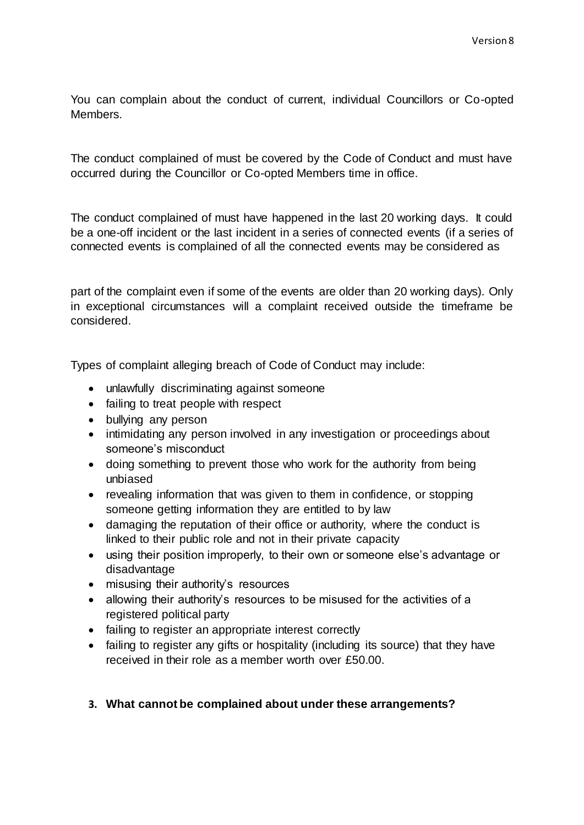You can complain about the conduct of current, individual Councillors or Co-opted Members.

The conduct complained of must be covered by the Code of Conduct and must have occurred during the Councillor or Co-opted Members time in office.

The conduct complained of must have happened in the last 20 working days. It could be a one-off incident or the last incident in a series of connected events (if a series of connected events is complained of all the connected events may be considered as

part of the complaint even if some of the events are older than 20 working days). Only in exceptional circumstances will a complaint received outside the timeframe be considered.

Types of complaint alleging breach of Code of Conduct may include:

- unlawfully discriminating against someone
- failing to treat people with respect
- bullying any person
- intimidating any person involved in any investigation or proceedings about someone's misconduct
- doing something to prevent those who work for the authority from being unbiased
- revealing information that was given to them in confidence, or stopping someone getting information they are entitled to by law
- damaging the reputation of their office or authority, where the conduct is linked to their public role and not in their private capacity
- using their position improperly, to their own or someone else's advantage or disadvantage
- misusing their authority's resources
- allowing their authority's resources to be misused for the activities of a registered political party
- failing to register an appropriate interest correctly
- failing to register any gifts or hospitality (including its source) that they have received in their role as a member worth over £50.00.

### **3. What cannot be complained about under these arrangements?**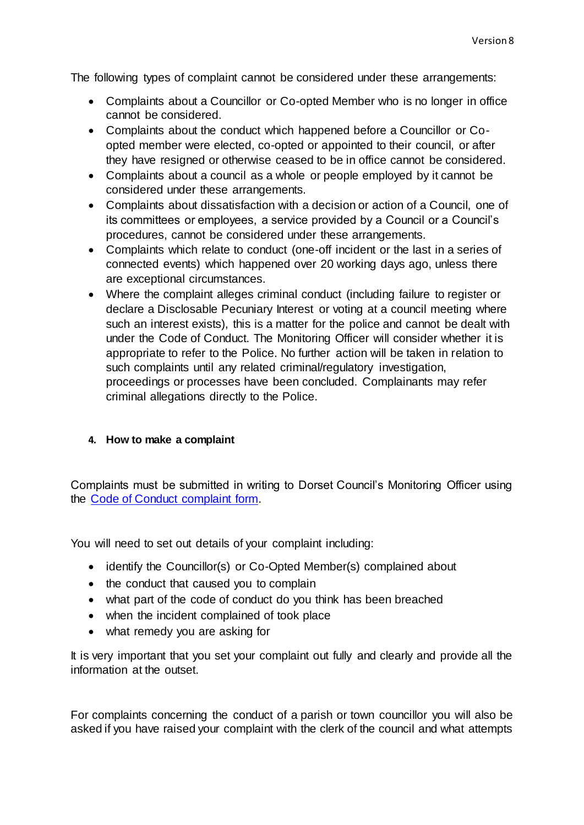The following types of complaint cannot be considered under these arrangements:

- Complaints about a Councillor or Co-opted Member who is no longer in office cannot be considered.
- Complaints about the conduct which happened before a Councillor or Coopted member were elected, co-opted or appointed to their council, or after they have resigned or otherwise ceased to be in office cannot be considered.
- Complaints about a council as a whole or people employed by it cannot be considered under these arrangements.
- Complaints about dissatisfaction with a decision or action of a Council, one of its committees or employees, a service provided by a Council or a Council's procedures, cannot be considered under these arrangements.
- Complaints which relate to conduct (one-off incident or the last in a series of connected events) which happened over 20 working days ago, unless there are exceptional circumstances.
- Where the complaint alleges criminal conduct (including failure to register or declare a Disclosable Pecuniary Interest or voting at a council meeting where such an interest exists), this is a matter for the police and cannot be dealt with under the Code of Conduct. The Monitoring Officer will consider whether it is appropriate to refer to the Police. No further action will be taken in relation to such complaints until any related criminal/regulatory investigation, proceedings or processes have been concluded. Complainants may refer criminal allegations directly to the Police.

### **4. How to make a complaint**

Complaints must be submitted in writing to Dorset Council's Monitoring Officer using the [Code of Conduct complaint form.](https://www.dorsetcouncil.gov.uk/your-council/comments-compliments-and-complaints.aspx)

You will need to set out details of your complaint including:

- identify the Councillor(s) or Co-Opted Member(s) complained about
- the conduct that caused you to complain
- what part of the code of conduct do you think has been breached
- when the incident complained of took place
- what remedy you are asking for

It is very important that you set your complaint out fully and clearly and provide all the information at the outset.

For complaints concerning the conduct of a parish or town councillor you will also be asked if you have raised your complaint with the clerk of the council and what attempts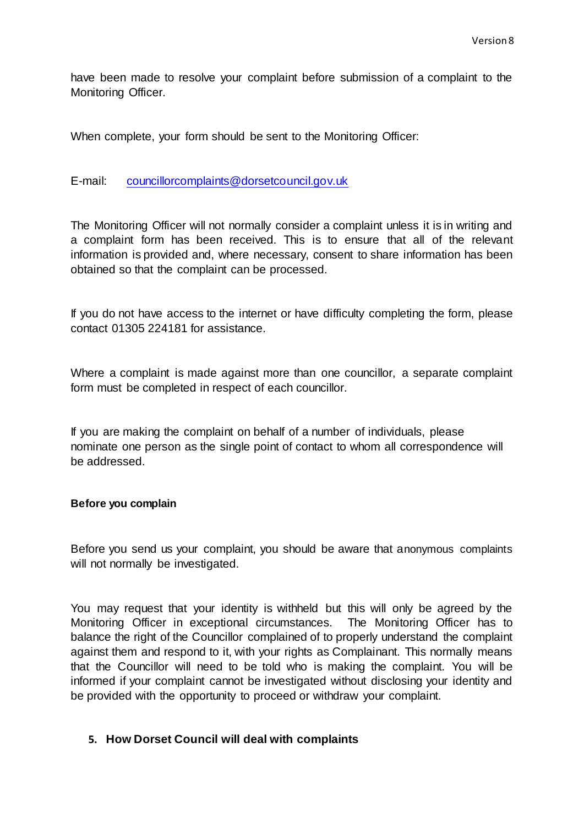have been made to resolve your complaint before submission of a complaint to the Monitoring Officer.

When complete, your form should be sent to the Monitoring Officer:

E-mail: [councillorcomplaints@dorsetcouncil.gov.uk](mailto:jonathan.mair@dorsetcouncil.gov.uk)

The Monitoring Officer will not normally consider a complaint unless it is in writing and a complaint form has been received. This is to ensure that all of the relevant information is provided and, where necessary, consent to share information has been obtained so that the complaint can be processed.

If you do not have access to the internet or have difficulty completing the form, please contact 01305 224181 for assistance.

Where a complaint is made against more than one councillor, a separate complaint form must be completed in respect of each councillor.

If you are making the complaint on behalf of a number of individuals, please nominate one person as the single point of contact to whom all correspondence will be addressed.

#### **Before you complain**

Before you send us your complaint, you should be aware that anonymous complaints will not normally be investigated.

You may request that your identity is withheld but this will only be agreed by the Monitoring Officer in exceptional circumstances. The Monitoring Officer has to balance the right of the Councillor complained of to properly understand the complaint against them and respond to it, with your rights as Complainant. This normally means that the Councillor will need to be told who is making the complaint. You will be informed if your complaint cannot be investigated without disclosing your identity and be provided with the opportunity to proceed or withdraw your complaint.

### **5. How Dorset Council will deal with complaints**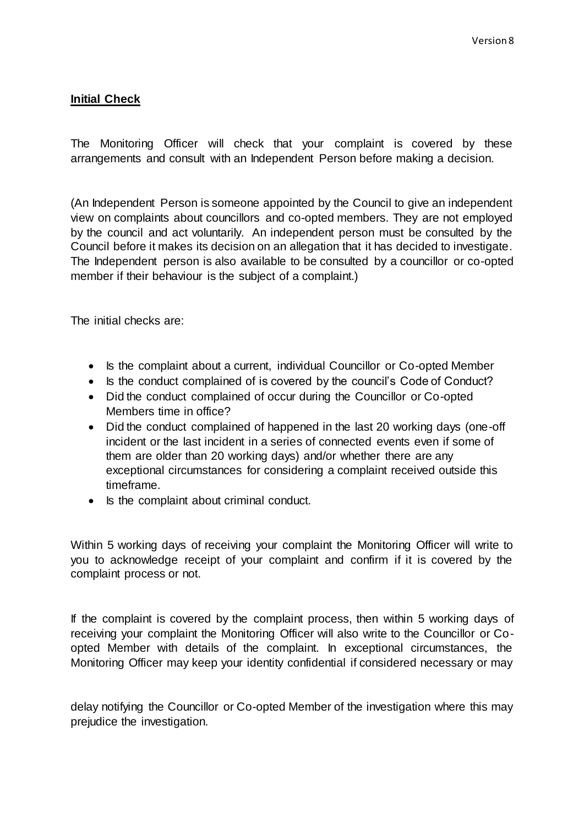# **Initial Check**

The Monitoring Officer will check that your complaint is covered by these arrangements and consult with an Independent Person before making a decision.

(An Independent Person is someone appointed by the Council to give an independent view on complaints about councillors and co-opted members. They are not employed by the council and act voluntarily. An independent person must be consulted by the Council before it makes its decision on an allegation that it has decided to investigate. The Independent person is also available to be consulted by a councillor or co-opted member if their behaviour is the subject of a complaint.)

The initial checks are:

- Is the complaint about a current, individual Councillor or Co-opted Member
- Is the conduct complained of is covered by the council's Code of Conduct?
- Did the conduct complained of occur during the Councillor or Co-opted Members time in office?
- Did the conduct complained of happened in the last 20 working days (one-off incident or the last incident in a series of connected events even if some of them are older than 20 working days) and/or whether there are any exceptional circumstances for considering a complaint received outside this timeframe.
- Is the complaint about criminal conduct.

Within 5 working days of receiving your complaint the Monitoring Officer will write to you to acknowledge receipt of your complaint and confirm if it is covered by the complaint process or not.

If the complaint is covered by the complaint process, then within 5 working days of receiving your complaint the Monitoring Officer will also write to the Councillor or Coopted Member with details of the complaint. In exceptional circumstances, the Monitoring Officer may keep your identity confidential if considered necessary or may

delay notifying the Councillor or Co-opted Member of the investigation where this may prejudice the investigation.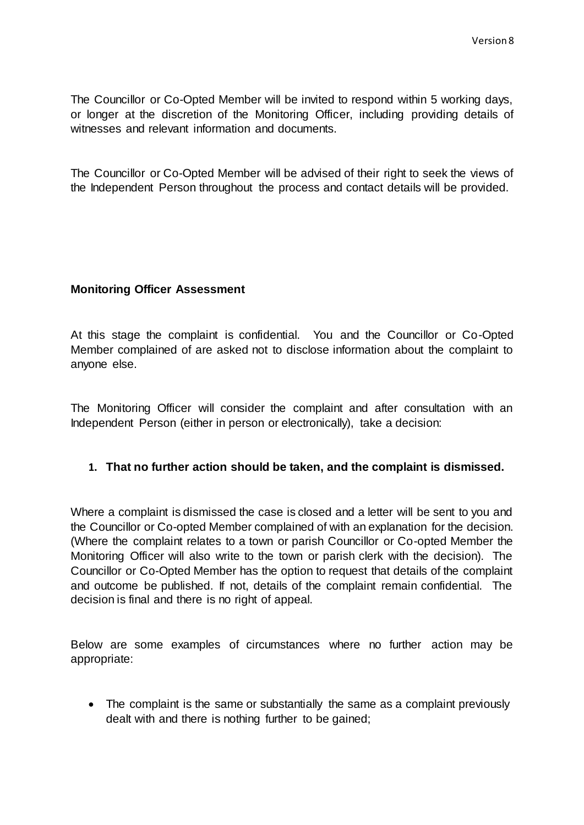The Councillor or Co-Opted Member will be invited to respond within 5 working days, or longer at the discretion of the Monitoring Officer, including providing details of witnesses and relevant information and documents.

The Councillor or Co-Opted Member will be advised of their right to seek the views of the Independent Person throughout the process and contact details will be provided.

## **Monitoring Officer Assessment**

At this stage the complaint is confidential. You and the Councillor or Co-Opted Member complained of are asked not to disclose information about the complaint to anyone else.

The Monitoring Officer will consider the complaint and after consultation with an Independent Person (either in person or electronically), take a decision:

### **1. That no further action should be taken, and the complaint is dismissed.**

Where a complaint is dismissed the case is closed and a letter will be sent to you and the Councillor or Co-opted Member complained of with an explanation for the decision. (Where the complaint relates to a town or parish Councillor or Co-opted Member the Monitoring Officer will also write to the town or parish clerk with the decision). The Councillor or Co-Opted Member has the option to request that details of the complaint and outcome be published. If not, details of the complaint remain confidential. The decision is final and there is no right of appeal.

Below are some examples of circumstances where no further action may be appropriate:

• The complaint is the same or substantially the same as a complaint previously dealt with and there is nothing further to be gained;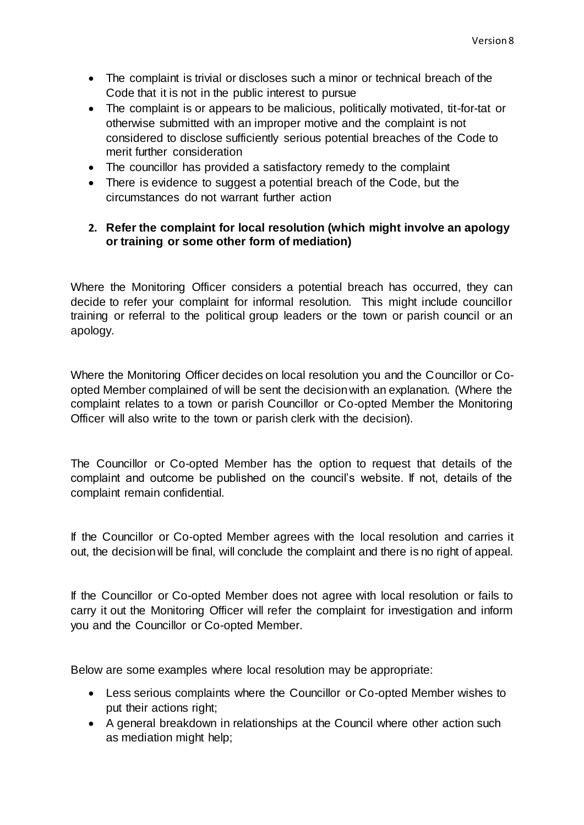- The complaint is trivial or discloses such a minor or technical breach of the Code that it is not in the public interest to pursue
- The complaint is or appears to be malicious, politically motivated, tit-for-tat or otherwise submitted with an improper motive and the complaint is not considered to disclose sufficiently serious potential breaches of the Code to merit further consideration
- The councillor has provided a satisfactory remedy to the complaint
- There is evidence to suggest a potential breach of the Code, but the circumstances do not warrant further action

# **2. Refer the complaint for local resolution (which might involve an apology or training or some other form of mediation)**

Where the Monitoring Officer considers a potential breach has occurred, they can decide to refer your complaint for informal resolution. This might include councillor training or referral to the political group leaders or the town or parish council or an apology.

Where the Monitoring Officer decides on local resolution you and the Councillor or Coopted Member complained of will be sent the decision with an explanation. (Where the complaint relates to a town or parish Councillor or Co-opted Member the Monitoring Officer will also write to the town or parish clerk with the decision).

The Councillor or Co-opted Member has the option to request that details of the complaint and outcome be published on the council's website. If not, details of the complaint remain confidential.

If the Councillor or Co-opted Member agrees with the local resolution and carries it out, the decision will be final, will conclude the complaint and there is no right of appeal.

If the Councillor or Co-opted Member does not agree with local resolution or fails to carry it out the Monitoring Officer will refer the complaint for investigation and inform you and the Councillor or Co-opted Member.

Below are some examples where local resolution may be appropriate:

- Less serious complaints where the Councillor or Co-opted Member wishes to put their actions right;
- A general breakdown in relationships at the Council where other action such as mediation might help;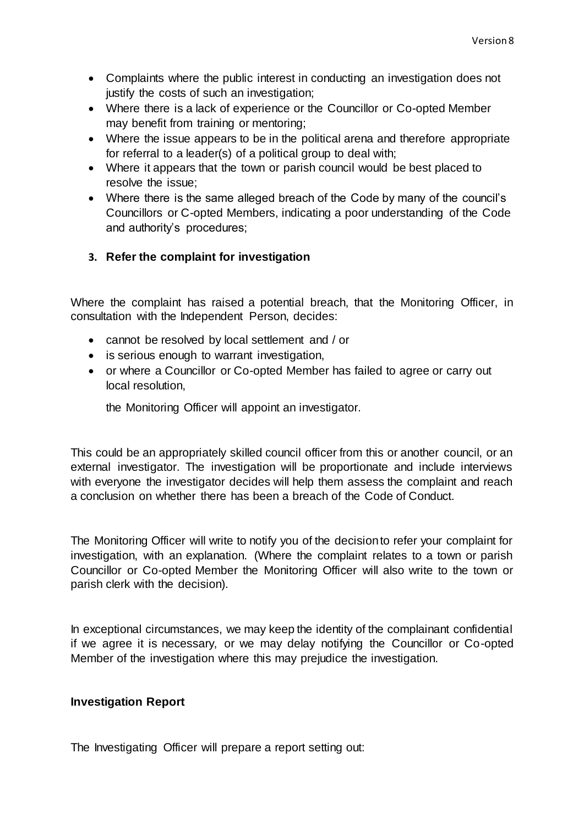- Complaints where the public interest in conducting an investigation does not justify the costs of such an investigation;
- Where there is a lack of experience or the Councillor or Co-opted Member may benefit from training or mentoring;
- Where the issue appears to be in the political arena and therefore appropriate for referral to a leader(s) of a political group to deal with;
- Where it appears that the town or parish council would be best placed to resolve the issue;
- Where there is the same alleged breach of the Code by many of the council's Councillors or C-opted Members, indicating a poor understanding of the Code and authority's procedures;

# **3. Refer the complaint for investigation**

Where the complaint has raised a potential breach, that the Monitoring Officer, in consultation with the Independent Person, decides:

- cannot be resolved by local settlement and / or
- is serious enough to warrant investigation,
- or where a Councillor or Co-opted Member has failed to agree or carry out local resolution,

the Monitoring Officer will appoint an investigator.

This could be an appropriately skilled council officer from this or another council, or an external investigator. The investigation will be proportionate and include interviews with everyone the investigator decides will help them assess the complaint and reach a conclusion on whether there has been a breach of the Code of Conduct.

The Monitoring Officer will write to notify you of the decision to refer your complaint for investigation, with an explanation. (Where the complaint relates to a town or parish Councillor or Co-opted Member the Monitoring Officer will also write to the town or parish clerk with the decision).

In exceptional circumstances, we may keep the identity of the complainant confidential if we agree it is necessary, or we may delay notifying the Councillor or Co-opted Member of the investigation where this may prejudice the investigation.

### **Investigation Report**

The Investigating Officer will prepare a report setting out: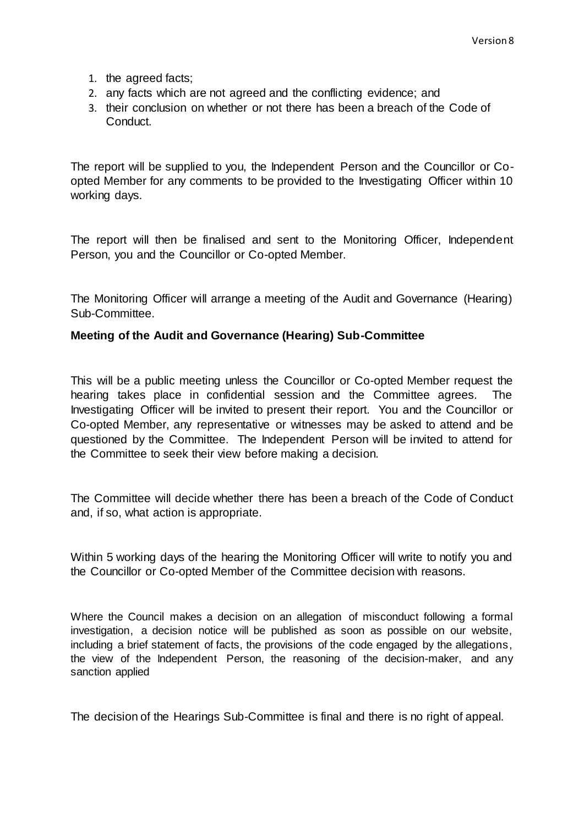- 1. the agreed facts;
- 2. any facts which are not agreed and the conflicting evidence; and
- 3. their conclusion on whether or not there has been a breach of the Code of Conduct.

The report will be supplied to you, the Independent Person and the Councillor or Coopted Member for any comments to be provided to the Investigating Officer within 10 working days.

The report will then be finalised and sent to the Monitoring Officer, Independent Person, you and the Councillor or Co-opted Member.

The Monitoring Officer will arrange a meeting of the Audit and Governance (Hearing) Sub-Committee.

#### **Meeting of the Audit and Governance (Hearing) Sub-Committee**

This will be a public meeting unless the Councillor or Co-opted Member request the hearing takes place in confidential session and the Committee agrees. The Investigating Officer will be invited to present their report. You and the Councillor or Co-opted Member, any representative or witnesses may be asked to attend and be questioned by the Committee. The Independent Person will be invited to attend for the Committee to seek their view before making a decision.

The Committee will decide whether there has been a breach of the Code of Conduct and, if so, what action is appropriate.

Within 5 working days of the hearing the Monitoring Officer will write to notify you and the Councillor or Co-opted Member of the Committee decision with reasons.

Where the Council makes a decision on an allegation of misconduct following a formal investigation, a decision notice will be published as soon as possible on our website, including a brief statement of facts, the provisions of the code engaged by the allegations, the view of the Independent Person, the reasoning of the decision-maker, and any sanction applied

The decision of the Hearings Sub-Committee is final and there is no right of appeal.